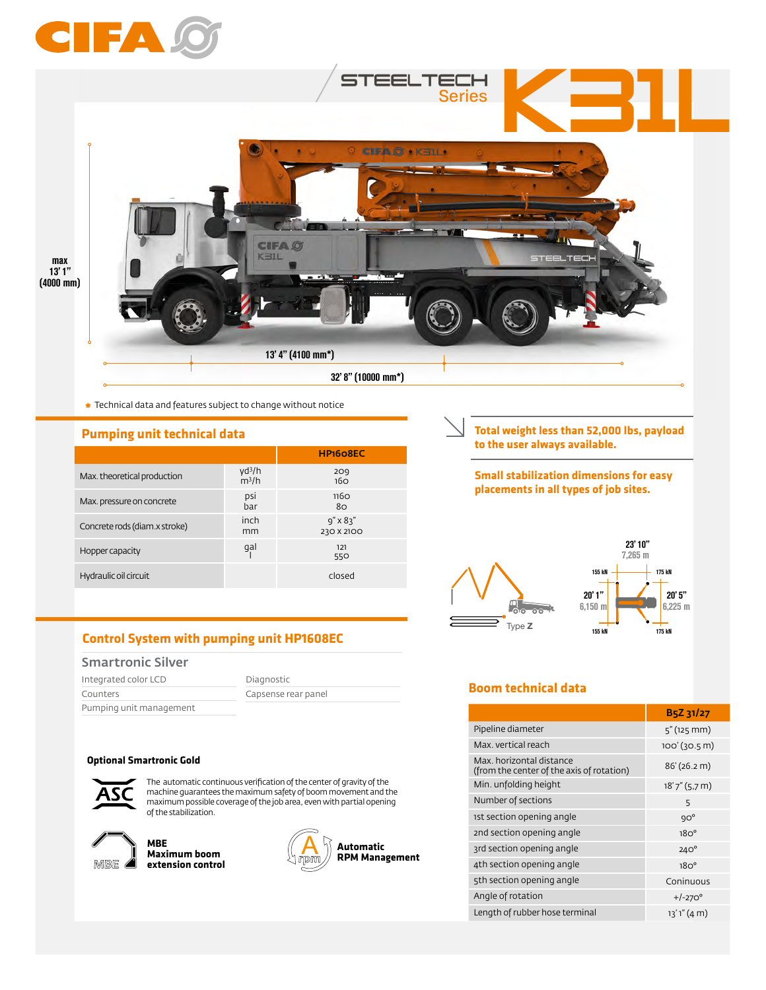

**\*** Technical data and features subject to change without notice

## **Pumping unit technical data**

|                               |                               | HP <sub>160</sub> 8EC           |
|-------------------------------|-------------------------------|---------------------------------|
| Max. theoretical production   | $yd^3/h$<br>m <sup>3</sup> /h | 209<br>16 <sub>O</sub>          |
| Max. pressure on concrete     | psi<br>bar                    | <b>1160</b><br>80               |
| Concrete rods (diam.x stroke) | inch<br>mm                    | $9'' \times 83''$<br>230 X 2100 |
| Hopper capacity               | gal                           | 121<br>550                      |
| Hydraulic oil circuit         |                               | closed                          |

# **Control System with pumping unit HP1608EC**

## Smartronic Silver

| Integrated color LCD    | Diagnostic          |  |  |
|-------------------------|---------------------|--|--|
| Counters                | Capsense rear panel |  |  |
| Pumping unit management |                     |  |  |

#### **Optional Smartronic Gold**



The automatic continuous verification of the center of gravity of the machine guarantees the maximum safety of boom movement and the maximum possible coverage of the job area, even with partial opening of the stabilization.



**MBE Maximum boom extension control**



**Total weight less than 52,000 lbs, payload to the user always available.** 

### **Small stabilization dimensions for easy placements in all types of job sites.**



# **Boom technical data**

|                                                                       | B5Z 31/27        |
|-----------------------------------------------------------------------|------------------|
| Pipeline diameter                                                     | $5''$ (125 mm)   |
| Max, vertical reach                                                   | $100'(30.5)$ m)  |
| Max, horizontal distance<br>(from the center of the axis of rotation) | 86' (26.2 m)     |
| Min. unfolding height                                                 | $18'7''(5.7)$ m) |
| Number of sections                                                    | 5                |
| ist section opening angle                                             | $9O^{\circ}$     |
| 2nd section opening angle                                             | 18O <sup>o</sup> |
| 3rd section opening angle                                             | $240^\circ$      |
| 4th section opening angle                                             | 18O <sup>o</sup> |
| 5th section opening angle                                             | Coninuous        |
| Angle of rotation                                                     | $+/-270^{\circ}$ |
| Length of rubber hose terminal                                        | 13'1''(4 m)      |